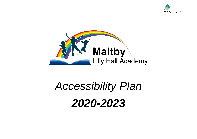



# *Accessibility Plan 2020-2023*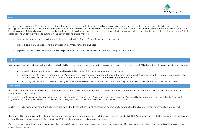

Every child who comes to Maltby Lilly Hall is unique. They come to school with their own combination of experiences, understanding and learning which it is our job, and privilege, to build upon. We believe that every child has the right to make the absolute most of their abilities. We aim to enable our children to overcome any barriers they face, including any social disadvantages they might experience both in primary education and beyond. We aim to ensure all children are able to access the curriculum and fulfil their potential. We undertake the steps outlined in this action plan to ensure that we:

- continually increase access to the curriculum for pupils with a Special Educational Needs or disability;
- Improve and maintain access to the physical environment for all stakeholders;
- Improve the delivery of written information to pupils, staff and other stakeholders to ensure equality of access for all.

#### PURPOSE

To increase access to education for students with disabilities, in the three areas required by the planning duties in the Equality Act 2012, Schedule 10, Paragraph 3 (See Appendix 1):

- Increasing the extent to which students with a disability can participate in the Academy's curriculum,
- Improving the physical environment of the Academy, for the purpose of, increasing the extent to which students, staff and visitors with a disability are able to take advantage of education, benefits, facilities and associated services provided or offered by the Academy, and;
- Improving the delivery, to students, colleagues or visitors with a disability, of information which is readily accessible to other students who are not disabled.

#### TIMEFRAME

The above aims will be delivered within a reasonable timeframe, and in ways which are determined after taking into account the student's disabilities and the views of the parents/carers and student.

In line with current legislation, this is a three-year plan (The Disability Discrimination (Prescribed Times and Periods for Accessibility Strategies and Plans for Schools) (England) Regulations 2005.) This plan will be kept under review during the period to which it relates and, if necessary, be revised.

Maltby Lilly Hall Academy aims to treat all its pupils fairly and with respect. This involves providing access and opportunities for all pupils without discrimination of any kind.

The plan will be made available online on the school website, and paper copies are available upon request. Maltby Lilly Hall Academy is committed to ensuring staff are trained in equality issues with reference to the Equality Act 2010, including understanding disability issues.

Our academy's complaints procedure covers the accessibility plan. If you have any concerns relating to accessibility in our academy, this procedure sets out the process for raising these concerns.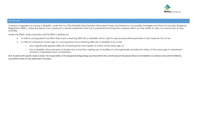

# DEFINITION

A person is regarded as having a disability, under the Act (The Disability Discrimination (Prescribed Times and Periods for Accessibility Strategies and Plans for Schools) (England) Regulations 2005.), where the person has a physical or mental impairment that has a substantial and long term adverse effect on their ability to carry out normal day-to-day activities.

Under the SEND code of practice (2015) SEND is defined as:

- A child or young person has SEN if they have a learning difficulty or disability which calls for special educational provision to be made for him or her.
- A child of compulsory school age or a young person has a learning difficulty or disability if he or she:
	- o has a significantly greater difficulty in learning than the majority of others of the same age, or
	- o has a disability which prevents or hinders him or her from making use of facilities of a kind generally provided for others of the same age in mainstream schools or mainstream post-16 institutions

(N.B. Students with specific medical needs'; the responsibility of the designated Safeguarding Lead (henceforth DSL) and the Special Educational Needs and Disabilities Co-ordinator (henceforth SENDCO), accessibility needs are also addressed in this plan).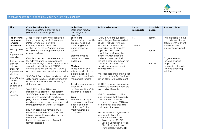

# INCREASE ACCESS TO THE CURRICULUM FOR PUPILS WITH A DISABILITY

| Aim                                                                                                                                                                                                                                                                                    | <b>Current good practice</b><br>Include established practice and<br>practice under development                                                                                                                                                                                                                                                                                                                                                                                                                                                                                                                                                                                                                                                                                                                                                                                                                                                                                                                                                                                                                                                           | <b>Objectives</b><br>State short, medium<br>and long-term<br>objectives                                                                                                                                                                                                                                                                                                                                                                                                                                                                                  | Actions to be taken                                                                                                                                                                                                                                                                                                                                                                                                                                                                                                                                                                                                                                                                                                                                                                                                                                                                                                                                                                                                | Person<br>responsible | Complete<br>actions         | <b>Success criteria</b>                                                                                                                                                                                                                  |
|----------------------------------------------------------------------------------------------------------------------------------------------------------------------------------------------------------------------------------------------------------------------------------------|----------------------------------------------------------------------------------------------------------------------------------------------------------------------------------------------------------------------------------------------------------------------------------------------------------------------------------------------------------------------------------------------------------------------------------------------------------------------------------------------------------------------------------------------------------------------------------------------------------------------------------------------------------------------------------------------------------------------------------------------------------------------------------------------------------------------------------------------------------------------------------------------------------------------------------------------------------------------------------------------------------------------------------------------------------------------------------------------------------------------------------------------------------|----------------------------------------------------------------------------------------------------------------------------------------------------------------------------------------------------------------------------------------------------------------------------------------------------------------------------------------------------------------------------------------------------------------------------------------------------------------------------------------------------------------------------------------------------------|--------------------------------------------------------------------------------------------------------------------------------------------------------------------------------------------------------------------------------------------------------------------------------------------------------------------------------------------------------------------------------------------------------------------------------------------------------------------------------------------------------------------------------------------------------------------------------------------------------------------------------------------------------------------------------------------------------------------------------------------------------------------------------------------------------------------------------------------------------------------------------------------------------------------------------------------------------------------------------------------------------------------|-----------------------|-----------------------------|------------------------------------------------------------------------------------------------------------------------------------------------------------------------------------------------------------------------------------------|
| The evolving<br>curriculum<br>remains<br>accessible.<br>Identify areas<br>for<br>improvement<br>to address.<br>Subject areas<br>plan to/<br>address<br>areas for<br>improvement<br>identified<br>Senior/Subjec<br>t leader<br>monitors<br>actions and<br>impact.<br>SENDCo<br>reviews. | Areas for improvement are identified<br>through on-going monitoring (drop-<br>ins/observations of individual<br>children/book scrutiny etc) and<br>evaluation by the SLT/subject leaders<br>and SENDCo this is supplemented by<br>external reviews.<br>Class teacher and phase leaders plan<br>to/ address areas for improvement<br>identified through focused action plans -<br>support provided through SENDCo,<br>external specialist advice (eg LSS/SALT)<br>and graduated response documentation<br>SENDCo, SLT and subject leaders monitor<br>actions and impact. Leaders inform staff<br>of needs and expectations annually in<br>staff meetings.<br>Special Educational Needs and<br>Disabilities Co-ordinator (henceforth<br>SENDCO) reviews SEN children termly,<br>working with teachers to produce<br>programmes of work meeting individual<br>needs and requirements - recorded and<br>managed through SMART IEP targets.<br>EHCP children have formal annual<br>reviews - this ensures that provision is<br>tailored to meet the needs of the most<br>vulnerable child and<br>impact/appropriateness of provision is<br>formally assessed. | Short term:<br>Book scrutiny to identify<br>areas of need and<br>show progression of all<br>pupils, session to<br>session.<br>Staff meetings to<br>inform practice of<br>colleagues<br>Medium:<br>Phase leaders and<br>subject leaders to have<br>a clear insight into<br>need and have timely<br>measurable targets.<br>To address and ensure<br>disparity in<br>achievement for SEND<br>children is targeted.<br>Long:<br>Ensure that all pupils<br>receive an equality of<br>access and that<br>attainment for the<br>most vulnerable is<br>maximised | SENDCo (with the support of<br>external agencies as needed<br>eg SaLT) will work with class<br>teachers to maximise the<br>accessibility of all areas for<br>pupils with SEND and<br>disabilities, maximising the<br>extent to which disabled<br>students can access their<br>subject curriculum. (E.g. do the<br>curriculum and resources<br>include examples of people<br>with disabilities?)<br>Phase leaders and core subject<br>areas to create effective timely<br>action plans for development<br>SENDCO to review progression<br>and ensure that aspirations are<br>high and achievable<br>SENDCo to review provision<br>map, ensuring that the needs<br>of all learners are met and<br>produces a focused PPLD plan<br>for individuals and groups to<br>address key focus areas.<br>IEPs are reviewed regularly with<br>teaching staff and the<br>implementation of these<br>monitored by the SENDCo.<br><b>Special Educational Needs</b><br><b>Disability Co-ordinator</b><br>works closely with the SLT | SLT<br>SENDCO         | Termly.<br>Termly<br>Annual | Phase leaders to have<br>a knowledge of pupil<br>progress with relevant<br>timely focused<br>interventions support.<br>Progress reviews<br>showing ongoing<br>support and<br>progression of pupils.<br>SEN pupils tracking<br>individual |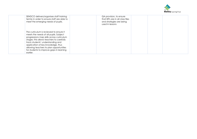

| SENDCO delivers/organises staff training<br>termly in order to ensure staff are able to<br>meet the emerging needs of pupils.                                                                                                                                                                                                                             | QA provision, to ensure<br>that IEPs are in all class files<br>and strategies are being<br>used in lessons |  |
|-----------------------------------------------------------------------------------------------------------------------------------------------------------------------------------------------------------------------------------------------------------------------------------------------------------------------------------------------------------|------------------------------------------------------------------------------------------------------------|--|
| The curriculum is reviewed to ensure it<br>meets the needs of all pupils. Subject<br>progressions map skills across curriculum<br>stages; this allows teachers to carefully<br>track students' understanding and<br>application of key knowledge, thus<br>allowing teachers to plan opportunities<br>for students to improve gaps in learning<br>earlier. |                                                                                                            |  |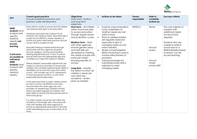

| Aim                                                                                                                                                                                                                                      | <b>Current good practice</b><br>Include established practice and<br>practice under development                                                                                                                                                                                                                                                                                                                                                                                                                                                                                                                                                                                                                                                                                                                                                                                                                                                                                                                                                                                                                                                                                                                                                                                                                                                                                                                                                                                                             | <b>Objectives</b><br>State short, medium<br>and long-term<br>objectives                                                                                                                                                                                                                                                                                                                                                                                                            |                                     | Actions to be taken                                                                                                                                                                                                                                                                                                                                                                                                | Person<br>responsible | Date to<br>complete<br>actions by                           | Success criteria                                                                                                                                                                                                       |
|------------------------------------------------------------------------------------------------------------------------------------------------------------------------------------------------------------------------------------------|------------------------------------------------------------------------------------------------------------------------------------------------------------------------------------------------------------------------------------------------------------------------------------------------------------------------------------------------------------------------------------------------------------------------------------------------------------------------------------------------------------------------------------------------------------------------------------------------------------------------------------------------------------------------------------------------------------------------------------------------------------------------------------------------------------------------------------------------------------------------------------------------------------------------------------------------------------------------------------------------------------------------------------------------------------------------------------------------------------------------------------------------------------------------------------------------------------------------------------------------------------------------------------------------------------------------------------------------------------------------------------------------------------------------------------------------------------------------------------------------------------|------------------------------------------------------------------------------------------------------------------------------------------------------------------------------------------------------------------------------------------------------------------------------------------------------------------------------------------------------------------------------------------------------------------------------------------------------------------------------------|-------------------------------------|--------------------------------------------------------------------------------------------------------------------------------------------------------------------------------------------------------------------------------------------------------------------------------------------------------------------------------------------------------------------------------------------------------------------|-----------------------|-------------------------------------------------------------|------------------------------------------------------------------------------------------------------------------------------------------------------------------------------------------------------------------------|
| <b>SEND</b><br>students (and<br>students with<br>specific<br>medical<br>needs) can<br>access<br>learning<br>Curriculum<br>accessible to<br>individual<br><b>SEND</b><br>students (and<br>students with<br>specific<br>medical<br>needs.) | Every effort is made to ensure that all children<br>can exercise their right to an education.<br>Individual care plans are in place for all<br>students with medical needs. Specialist help is<br>sought by the SENDCo, where needed, to<br>ensure any plans meet best practice and do<br>not put staff or students at risk.<br>Specialist training is implemented through<br>partnership with key agencies (hospital<br>services, epilepsy, moving and handling,<br>Hearing Impaired Service, VI etc) to ensure<br>that all staff have the appropriate skills and<br>confidence to meet the needs of children.<br>Where needed, reasonable adjustments are<br>made to curriculum provision to ensure that<br>children with complex medical needs, SEND or<br>disabilities can access the curriculum within<br>school - this includes use of ICT, adjustments<br>to teaching group locations, or any other<br>reasonably practicable steps.<br>In the rare event that a child's needs cannot<br>be met in school, the SENDCo and class<br>teacher liaise with other agencies and<br>providers as needed (eg. Hospital schools).<br>Work is provided regularly for children and<br>steps taken to ensure that they remain part of<br>their social group.<br>If a child's needs cannot be met within the<br>academy in the longer term, the school will<br>work with families and other agencies to<br>ensure an appropriate placement is secured<br>whilst maintaining access to education at all<br>times. | Short term - all children<br>within school are able<br>to access education<br>through regular review<br>and evaluation cycles.<br><b>Medium Term - Work</b><br>with other agencies<br>ensures generic plans<br>and staff skills are<br>developed in meeting<br>the needs of pupils with<br>particular needs -<br>ensuring equality of<br>access<br>Long term - Monitor<br>the extent to which all<br>children's needs are<br>met within the<br>academy - review<br>plans as needed | $\bullet$<br>$\bullet$<br>$\bullet$ | Case-by-case evaluations<br>to be undertaken of<br>whether needs are met<br>within school<br>Plans to address barriers<br>are regularly reviewed<br>especially in light of<br>changing needs as and<br>when needed.<br>Whole school/targeted<br>SEND monitoring is used to<br>monitor effectiveness of<br>provisions.<br>Training packages for<br>individuals/whole staff is<br>adjusted to meet<br>changing needs | SENDCo                | Termly<br>Annual<br>review<br>Annual<br>whole<br>school ADP | The vast majority of<br>students with<br>additional needs<br>access school<br>regularly<br>Students who are<br>unable to attend<br>school due to a<br>SEND/disability/medic<br>al reason can still<br>access learning. |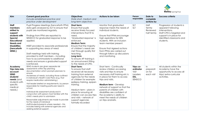

| Aim                                                                                                                                                                    | <b>Current good practice</b><br>Include established practice and<br>practice under development                                                                                                                                                                                                                                                                                                                                                                                                                                                                                                                                                                                                                             | <b>Objectives</b><br>State short, medium and<br>long-term objectives                                                                                                                                                                                                                                                                                          | <b>Actions to be taken</b>                                                                                                                                                                                                                                                                                                                                                                 | Person<br>responsible                                        | Date to<br>complete<br>actions by         | <b>Success criteria</b>                                                                                                                                              |
|------------------------------------------------------------------------------------------------------------------------------------------------------------------------|----------------------------------------------------------------------------------------------------------------------------------------------------------------------------------------------------------------------------------------------------------------------------------------------------------------------------------------------------------------------------------------------------------------------------------------------------------------------------------------------------------------------------------------------------------------------------------------------------------------------------------------------------------------------------------------------------------------------------|---------------------------------------------------------------------------------------------------------------------------------------------------------------------------------------------------------------------------------------------------------------------------------------------------------------------------------------------------------------|--------------------------------------------------------------------------------------------------------------------------------------------------------------------------------------------------------------------------------------------------------------------------------------------------------------------------------------------------------------------------------------------|--------------------------------------------------------------|-------------------------------------------|----------------------------------------------------------------------------------------------------------------------------------------------------------------------|
| <b>Staff</b><br>members<br>skilled to<br>support<br>students with<br>Special<br><b>Educational</b><br><b>Needs and</b><br><b>Disabilities</b><br>(henceforth<br>SEND.) | Pupil Progress Meetings (henceforth PPM)<br>data gets analysed by SLT to ensure that<br>pupils are monitored regularly.<br>Findings from PPM are reported to<br>SENDCO for graduated response to be<br>applied.<br>INSET provided to associate professionals<br>in supporting key areas of need<br>Staff meetings held with training<br>provided to staff members - including<br>how to accommodate to additional<br>needs and ensure a graduated support<br>is enforced.                                                                                                                                                                                                                                                  | Short term:<br>Ensure that pupils<br>receive timely focused<br>interventions that fit to<br>need.<br>'Graduated response' is<br>enforced<br><b>Medium Term:</b><br>Ensure that the majority<br>of children's needs are<br>met through quality first<br>teaching.<br>Long term:<br>To ensure AP training is<br>an annual event fitting<br>to the needs of CPD. | Monitor that graduated<br>response meets the needs of<br>individual students.<br>Ensure that PPMs encourage<br>high aspirations for SEN<br>students. With an Inclusion<br>team member present.<br>Ensure that Agreed actions<br>from PPMs are carried out<br>through follow up discussions<br>and monitoring                                                                               | <b>SLT</b><br><b>SLT</b>                                     | Half<br>Termly<br>Reviewed<br>half termly | Progression of students is<br>apparent following<br>interventions.<br>Staff CPD is targeted and<br>support is in place for<br>identified classrooms and<br>students. |
| Academy<br>Trips take into<br>account<br><b>SEND</b><br>students'<br>needs (and<br>students with<br>specific<br>medical<br>needs.)                                     | SEND students are given separate risk<br>assessments within trip planning<br>documentation which prompts planners to<br>ensure:<br>Awareness of needs, including those outlined<br>in individual's Health Care Plans (e.g. that<br>require medication administering.)<br>Visit leader briefed on requirements, by person<br>responsible for meeting particular need in<br>school.<br>Individual risk assessment produced in<br>conjunction with person most familiar with the<br>child's needs prior to submission<br>Reasonable adjustments are made to provide<br>for the needs of individual<br>staff/students/parents where needed - this<br>includes liaising with external agencies and<br>seeking external support. | <b>Short Term:</b><br>To ensure that staff<br>received all necessary<br>training from external<br>agencies for the needs<br>of children for example:<br>epilepsy training, epipen<br>training.<br>Medium term - plans in<br>place for ensuring all<br>children can access trips<br>and visits – network of<br>support agencies<br>formally recorded           | Short term - Continually<br>review children accessing<br>visits and trips to ensure<br>necessary staff training etc is<br>in place for them to access<br>trips and visits.<br><b>Medium term</b> - Develop<br>network of support so that the<br>parents of children with<br>disabilities are confident of<br>the academy's ability to<br>meet the needs of children<br>on trips andvisits. | Trips co-<br>ordinator<br>Visit<br>Leaders<br>DSL,<br>SENDCO | In<br>preparati<br>on for<br>each visit   | All students within the<br>Academy have the<br>opportunity to access all<br>trips/extra-curricular<br>activities.                                                    |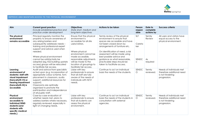

## IMPROVE AND MAINTAIN ACCESS TO THE PHYSICAL ENVIRONMENT

| Aim                                                                                                                                                     | <b>Current good practice</b><br>Include established practice and<br>practice under development                                                                                                                                                                                                                                                                                        | <b>Objectives</b><br>State short, medium and<br>long-term objectives                                                                                                                                                                                            | Actions to be taken                                                                                                                                                                                                                                                                                                                                        | Person<br>respon<br>sible                       | Date to<br>complete<br>actions by  | <b>Success criteria</b>                                                                   |
|---------------------------------------------------------------------------------------------------------------------------------------------------------|---------------------------------------------------------------------------------------------------------------------------------------------------------------------------------------------------------------------------------------------------------------------------------------------------------------------------------------------------------------------------------------|-----------------------------------------------------------------------------------------------------------------------------------------------------------------------------------------------------------------------------------------------------------------|------------------------------------------------------------------------------------------------------------------------------------------------------------------------------------------------------------------------------------------------------------------------------------------------------------------------------------------------------------|-------------------------------------------------|------------------------------------|-------------------------------------------------------------------------------------------|
| The physical<br>environment<br>remains accessible                                                                                                       | Principal regularly monitors the<br>property to ensure awareness of<br>any arising barriers and<br>subsequently addresses needs -<br>training and professional expert<br>support and advice used when<br>needed.<br>Where physical environment<br>cannot be satisfactorily be<br>adapted (eg. KS2 building upstairs<br>access) groups will be relocated<br>to facilitate fair access. | Ensure that the physical<br>environment is<br>accessible for all site<br>users/visitors.<br>Where physical<br>environment cannot be<br>made accessible.<br>reasonable adjustments<br>will be made to the<br>location of groupings to<br>facilitate fair access. | Termly review of the physical<br>environment to ensure that<br>spaces are accessible and have<br>not been closed down by<br>arrangements of furniture etc.<br>On identification of need, a risk<br>assessment will be made using<br>best possible advice and<br>guidance as what reasonable,<br>practicable steps should be<br>taken to facilitate access. | <b>SLT</b><br>Careta<br>ker<br>SENDC<br>$\circ$ | Termly<br>Review<br>As<br>required | All users and visitors have<br>equal access to the<br>physical environment.               |
| Learning<br>environment of<br>students/ staff with<br>visual impairment<br>(henceforth VI) or<br>hearing impairment<br>(henceforth HI) is<br>accessible | Audit and advice from specialists<br>acted upon (e.g. Incorporation of<br>appropriate colour scheme, font,<br>placement in classroom, audio<br>support, additional resources for<br>support)<br>Classrooms are optimally<br>organised to promote the<br>participation and independence<br>of all pupils/ staff.                                                                       | Ligise with key<br>professionals to ensure<br>that all staff are fully<br>aware of the needs of<br>individuals with HI/VI<br>needs.                                                                                                                             | Continue to act on individual<br>basis the needs of the students.                                                                                                                                                                                                                                                                                          | SENDC<br>$\circ$                                | Termly<br>reviewed.                | Needs of individuals met<br>therefore additional need<br>is not hindering<br>progression. |
| Physical<br>environment<br>accessible to<br>individual SEND<br>students (and<br>students with<br>specific medical<br>needs.)                            | Case-by-case evaluation of<br>whether needs met, plans to<br>address barriers where necessary,<br>regularly reviewed, especially in<br>light of changing needs.                                                                                                                                                                                                                       | Liaise with key<br>professionals to ensure<br>that all students can<br>assess the physical<br>environment.                                                                                                                                                      | Continue to act on individual<br>basis the needs of the students in<br>consultation with external<br>agencies.                                                                                                                                                                                                                                             | SENDC<br>$\circ$                                | Termly<br>reviewed.                | Needs of individuals met<br>therefore additional need<br>is not hindering<br>progression. |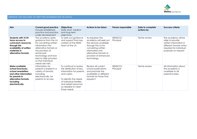

## IMPROVE THE DELIVERY OF WRITTEN INFORMATION TO PUPILS

| Aim                                                                                                                                                         | <b>Current good practice</b><br>Include established<br>practice and practice<br>under development                                                                                                                                          | <b>Objectives</b><br>State short, medium<br>and long-term<br>objectives                                                                                                                                  | Actions to be taken                                                                                                                                                                                   | Person responsible   | Date to complete<br>actions by | Success criteria                                                                                                                             |
|-------------------------------------------------------------------------------------------------------------------------------------------------------------|--------------------------------------------------------------------------------------------------------------------------------------------------------------------------------------------------------------------------------------------|----------------------------------------------------------------------------------------------------------------------------------------------------------------------------------------------------------|-------------------------------------------------------------------------------------------------------------------------------------------------------------------------------------------------------|----------------------|--------------------------------|----------------------------------------------------------------------------------------------------------------------------------------------|
| <b>Students with VI/HI</b><br>have access to<br>curriculum resources<br>through the<br>availability of written<br>materials in<br>alternative formats.      | The academy seeks<br>guidance from the LA<br>for converting written<br>information into<br>alternative formats or<br>the provision of<br>enhanced<br>technology and how<br>best to alter provision<br>so that individual<br>needs are met. | To seek out guidance<br>and support from key<br>workers at the SEND<br>team at the LA.                                                                                                                   | As required, the<br>academy will seek out<br>the services available<br>through the LA for<br>converting written<br>information into<br>alternative formats or<br>provision of enhanced<br>technology. | SENDCO/<br>Principal | Termly review                  | The academy will be<br>able to provide<br>written information in<br>different formats when<br>required for individual<br>purposes on request |
| Make available<br>school brochures,<br>school newsletters<br>and other information<br>for parents in<br>alternative formats,<br>including<br>electronically | Information for<br>parents is shared in a<br>variety of formats,<br>including<br>electronically, for<br>parents to access.                                                                                                                 | To continue to review<br>the distribution of key<br>information for parents<br>and carers.<br>To identify the needs<br>of individual families<br>and adapt resources<br>as needed to meet<br>those needs | Review all current<br>school publications<br>and promote the<br>availability in different<br>formats for those that<br>require it                                                                     | SENDCO/<br>Principal | Termly review                  | All information about<br>the academy is<br>available to all<br>parents/carers.                                                               |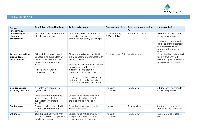

# PHYSICAL ACCESS PLAN

| <b>Feature</b><br>For example:                           | Description of identified issue                                                                                                                                                            | Actions to be taken                                                                                                                                                                                                                                                                                                                       | Person responsible                | Date to complete actions<br>by | <b>Success criteria</b>                                                                                                                                                   |
|----------------------------------------------------------|--------------------------------------------------------------------------------------------------------------------------------------------------------------------------------------------|-------------------------------------------------------------------------------------------------------------------------------------------------------------------------------------------------------------------------------------------------------------------------------------------------------------------------------------------|-----------------------------------|--------------------------------|---------------------------------------------------------------------------------------------------------------------------------------------------------------------------|
| Accessibility of<br>classroom<br>environment             | Classrooms cluttered and not<br>wheelchair accessible.                                                                                                                                     | Classrooms to be monitored for<br>accessibility weekly by<br>caretaker/half termly by Principal                                                                                                                                                                                                                                           | Class teacher /<br>SLT/ caretaker | Half Termly review             | All doorways conform to<br>current requirements.<br>Students have access to<br>all areas of the classroom<br>as they are optimally<br>organised for disabled<br>students. |
| Access beyond the<br>ground floor/ to<br>multiple levels | KS2 upstairs classrooms not<br>accessible to pupils/staff with<br>limited mobility due to stairs<br>with no alternative access<br>route.<br>Staff Room/PPA room<br>accessible by lift only | Classrooms to be reallocated to<br>allow access to children/staff with<br>limited mobility.<br>Any sessions which require access<br>by staff/pupils with limited<br>mobility will take place in<br>alternate parts of the school.<br>Lift usage to be enabled for any<br>student/staff member needing<br>access to these areas of school. | Class teacher / SLT               | Termly review                  | Education is not disrupted<br>for any student/staff<br>member by inaccessibility<br>of upstairs classrooms.                                                               |
| Corridor access -<br>Including doors etc                 | All widths etc conform to<br>agreed standards.<br>Some doors are heavy and<br>may present a challenge to<br>pupils/staff with limited<br>mobility.                                         | Checks to be made of all key<br>equipment and additional<br>provision made if needed.                                                                                                                                                                                                                                                     | Principal/<br>Caretaker           | Termly review                  | All doorways conform to<br>current requirements.                                                                                                                          |
| <b>Parking bays</b>                                      | Parking on site is permitted to<br>students with additional<br>needs.                                                                                                                      | Allocation of access to parking<br>where necessary.                                                                                                                                                                                                                                                                                       | Principal                         | Reviewed termly                | Students have ease of<br>access to the school site.                                                                                                                       |
| <b>Entrances</b>                                         | Rear gate is heavy and may<br>present a barrier to pupils/staff<br>with limited mobility.                                                                                                  | Checks to be made of all key<br>equipment and additional<br>provision made if needed.                                                                                                                                                                                                                                                     | Principal/<br>Caretaker           | Termly review                  | Gates are accessible to<br>all.                                                                                                                                           |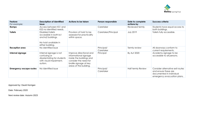

| <b>Feature</b><br>For example: | <b>Description of identified</b><br>issue                                                                     | Actions to be taken                                                                                                                                       | Person responsible      | Date to complete<br>actions by | Success criteria                                                                                                    |
|--------------------------------|---------------------------------------------------------------------------------------------------------------|-----------------------------------------------------------------------------------------------------------------------------------------------------------|-------------------------|--------------------------------|---------------------------------------------------------------------------------------------------------------------|
| Ramps                          | Access between KS1 and<br>KS2 no identified needs.                                                            |                                                                                                                                                           | Caretaker               | Reviewed termly                | Students have equal access to<br>both buildings.                                                                    |
| <b>Toilets</b>                 | Disabled toilets<br>accessible in both ks1<br>and ks2 buildings.<br>No hoist available in<br>either building. | Provision of hoist to be<br>assessed for practicality<br>within space.                                                                                    | Caretaker/Principal     | <b>July 2019</b>               | Toilets fully accessible.                                                                                           |
| Reception area                 | No identified issue                                                                                           |                                                                                                                                                           | Principal/<br>Caretaker | Termly review                  | All doorways conform to<br>current requirements.                                                                    |
| Internal signage               | Internal signage is not<br>confusing or<br>disorientating for students<br>with visual impairment,<br>autism.  | Improve directional and<br>informational signage<br>inside the buildings and<br>consider the need for<br>braille signage at key<br>areas of the building. | Principal               | By Aut 2020                    | Academy signage to be<br>accessible to all persons.                                                                 |
| <b>Emergency escape routes</b> | No Identified issue                                                                                           |                                                                                                                                                           | Principal/<br>Caretaker | <b>Half termly Review</b>      | Consider alternative exit routes<br>and ensure these are<br>documented in individual<br>emergency evacuation plans. |

Approved by: David Horrigan

Date: February 2020

Next review date: Autumn 2023